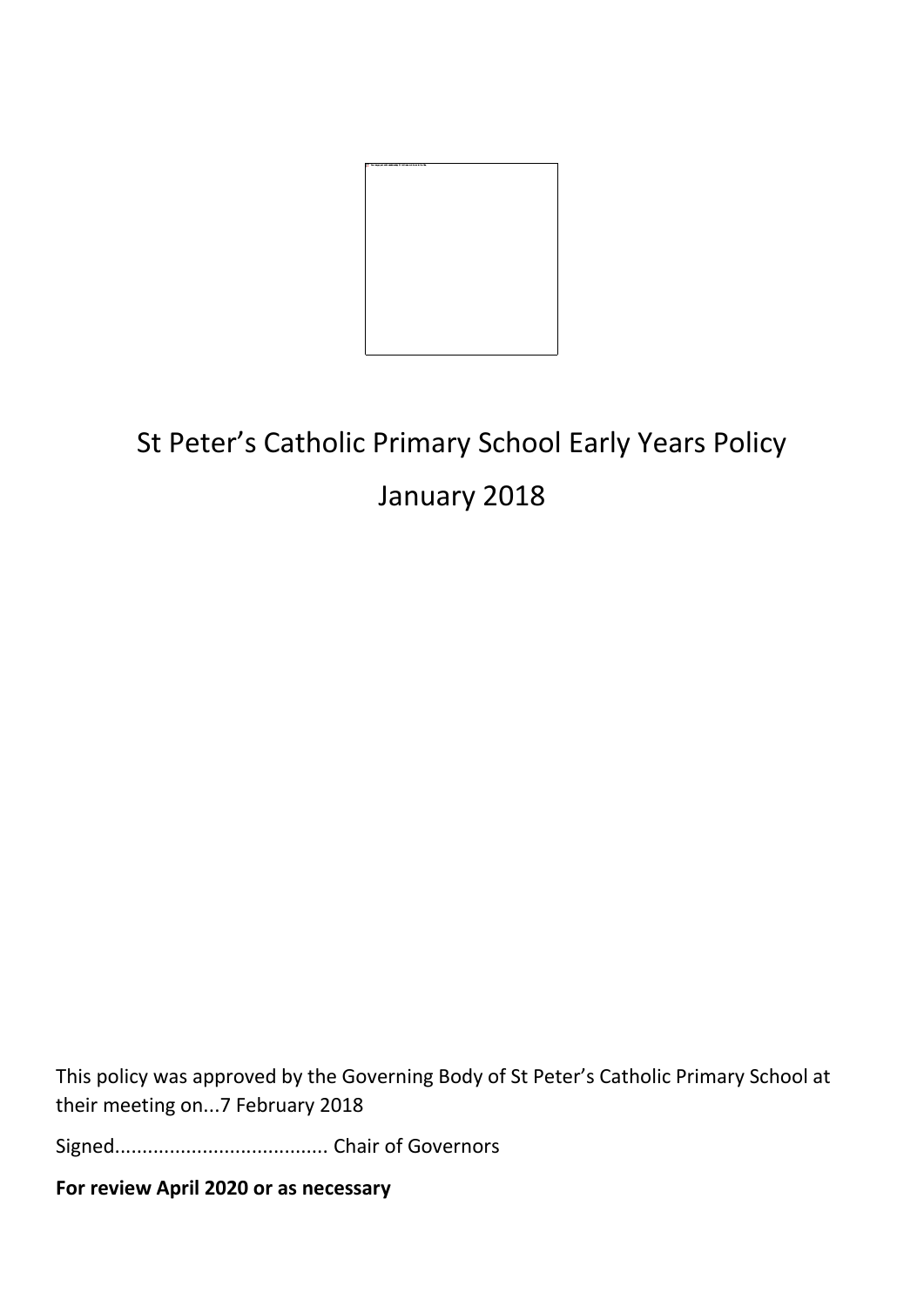

# St Peter's Catholic Primary School Early Years Policy

# January 2018

This policy was approved by the Governing Body of St Peter's Catholic Primary School at their meeting on...7 February 2018

Signed....................................... Chair of Governors

**For review April 2020 or as necessary**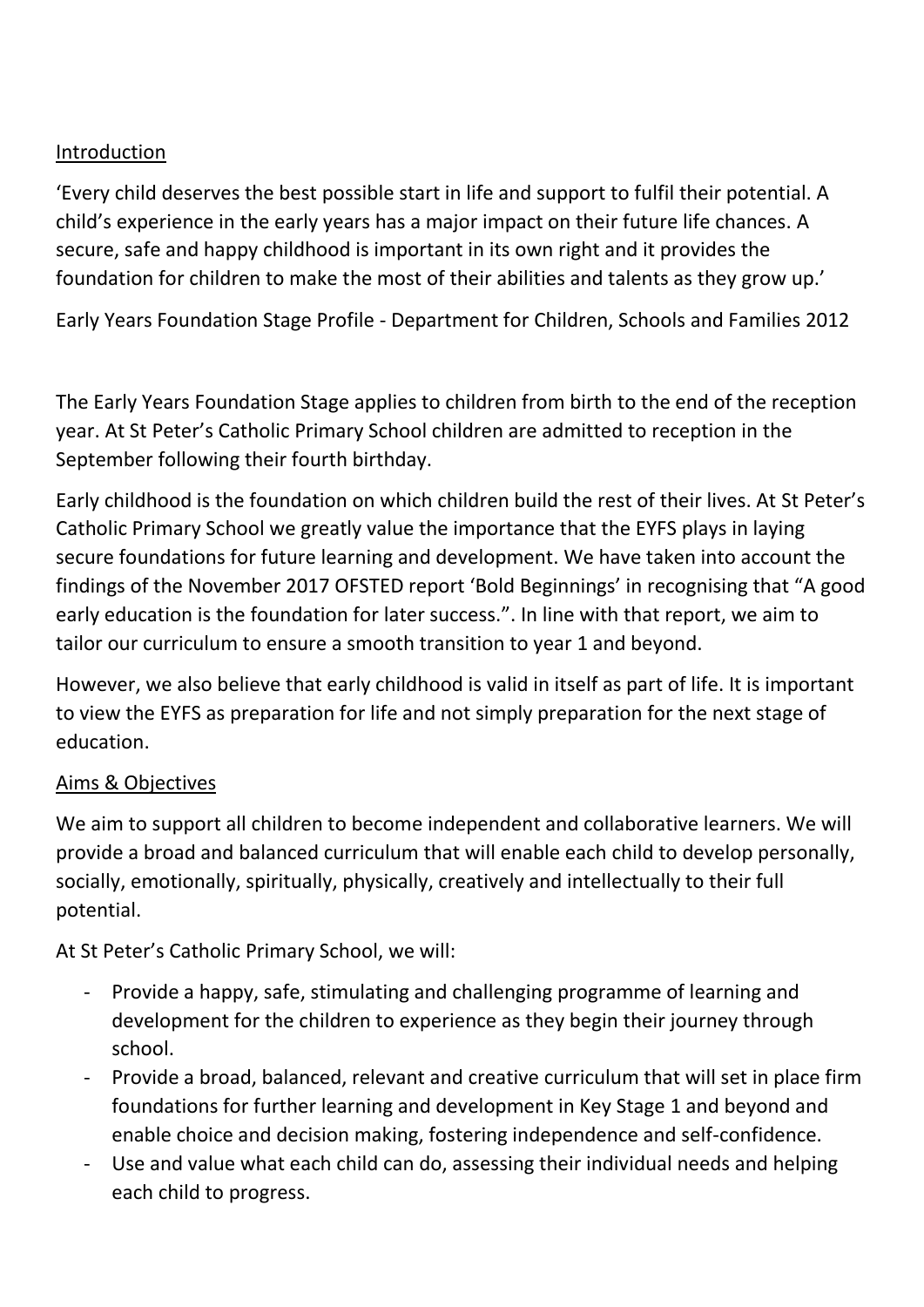#### Introduction

'Every child deserves the best possible start in life and support to fulfil their potential. A child's experience in the early years has a major impact on their future life chances. A secure, safe and happy childhood is important in its own right and it provides the foundation for children to make the most of their abilities and talents as they grow up.'

Early Years Foundation Stage Profile - Department for Children, Schools and Families 2012

The Early Years Foundation Stage applies to children from birth to the end of the reception year. At St Peter's Catholic Primary School children are admitted to reception in the September following their fourth birthday.

Early childhood is the foundation on which children build the rest of their lives. At St Peter's Catholic Primary School we greatly value the importance that the EYFS plays in laying secure foundations for future learning and development. We have taken into account the findings of the November 2017 OFSTED report 'Bold Beginnings' in recognising that "A good early education is the foundation for later success.". In line with that report, we aim to tailor our curriculum to ensure a smooth transition to year 1 and beyond.

However, we also believe that early childhood is valid in itself as part of life. It is important to view the EYFS as preparation for life and not simply preparation for the next stage of education.

#### Aims & Objectives

We aim to support all children to become independent and collaborative learners. We will provide a broad and balanced curriculum that will enable each child to develop personally, socially, emotionally, spiritually, physically, creatively and intellectually to their full potential.

At St Peter's Catholic Primary School, we will:

- Provide a happy, safe, stimulating and challenging programme of learning and development for the children to experience as they begin their journey through school.
- Provide a broad, balanced, relevant and creative curriculum that will set in place firm foundations for further learning and development in Key Stage 1 and beyond and enable choice and decision making, fostering independence and self-confidence.
- Use and value what each child can do, assessing their individual needs and helping each child to progress.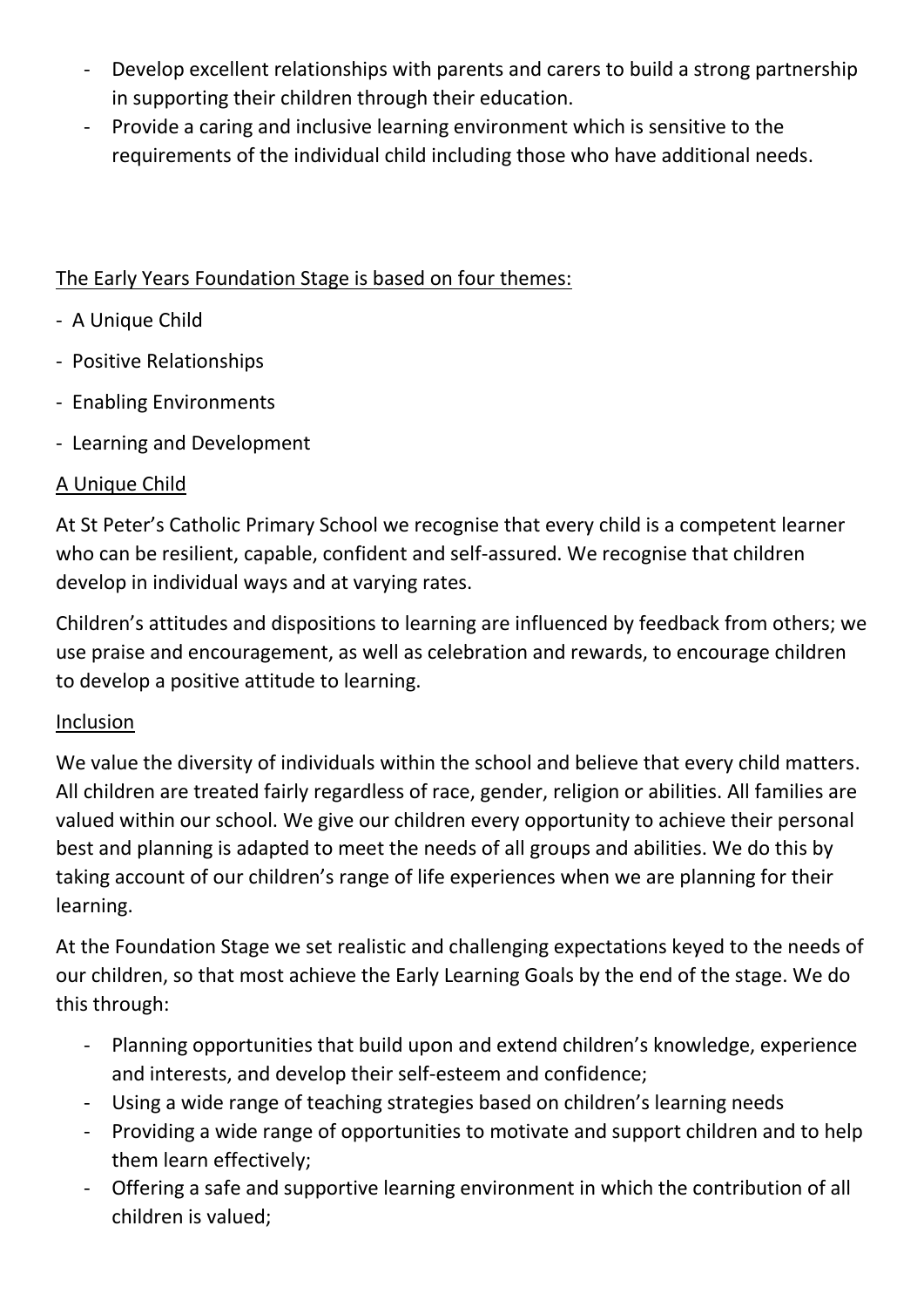- Develop excellent relationships with parents and carers to build a strong partnership in supporting their children through their education.
- Provide a caring and inclusive learning environment which is sensitive to the requirements of the individual child including those who have additional needs.

#### The Early Years Foundation Stage is based on four themes:

- A Unique Child
- Positive Relationships
- Enabling Environments
- Learning and Development

#### A Unique Child

At St Peter's Catholic Primary School we recognise that every child is a competent learner who can be resilient, capable, confident and self-assured. We recognise that children develop in individual ways and at varying rates.

Children's attitudes and dispositions to learning are influenced by feedback from others; we use praise and encouragement, as well as celebration and rewards, to encourage children to develop a positive attitude to learning.

#### Inclusion

We value the diversity of individuals within the school and believe that every child matters. All children are treated fairly regardless of race, gender, religion or abilities. All families are valued within our school. We give our children every opportunity to achieve their personal best and planning is adapted to meet the needs of all groups and abilities. We do this by taking account of our children's range of life experiences when we are planning for their learning.

At the Foundation Stage we set realistic and challenging expectations keyed to the needs of our children, so that most achieve the Early Learning Goals by the end of the stage. We do this through:

- Planning opportunities that build upon and extend children's knowledge, experience and interests, and develop their self-esteem and confidence;
- Using a wide range of teaching strategies based on children's learning needs
- Providing a wide range of opportunities to motivate and support children and to help them learn effectively;
- Offering a safe and supportive learning environment in which the contribution of all children is valued;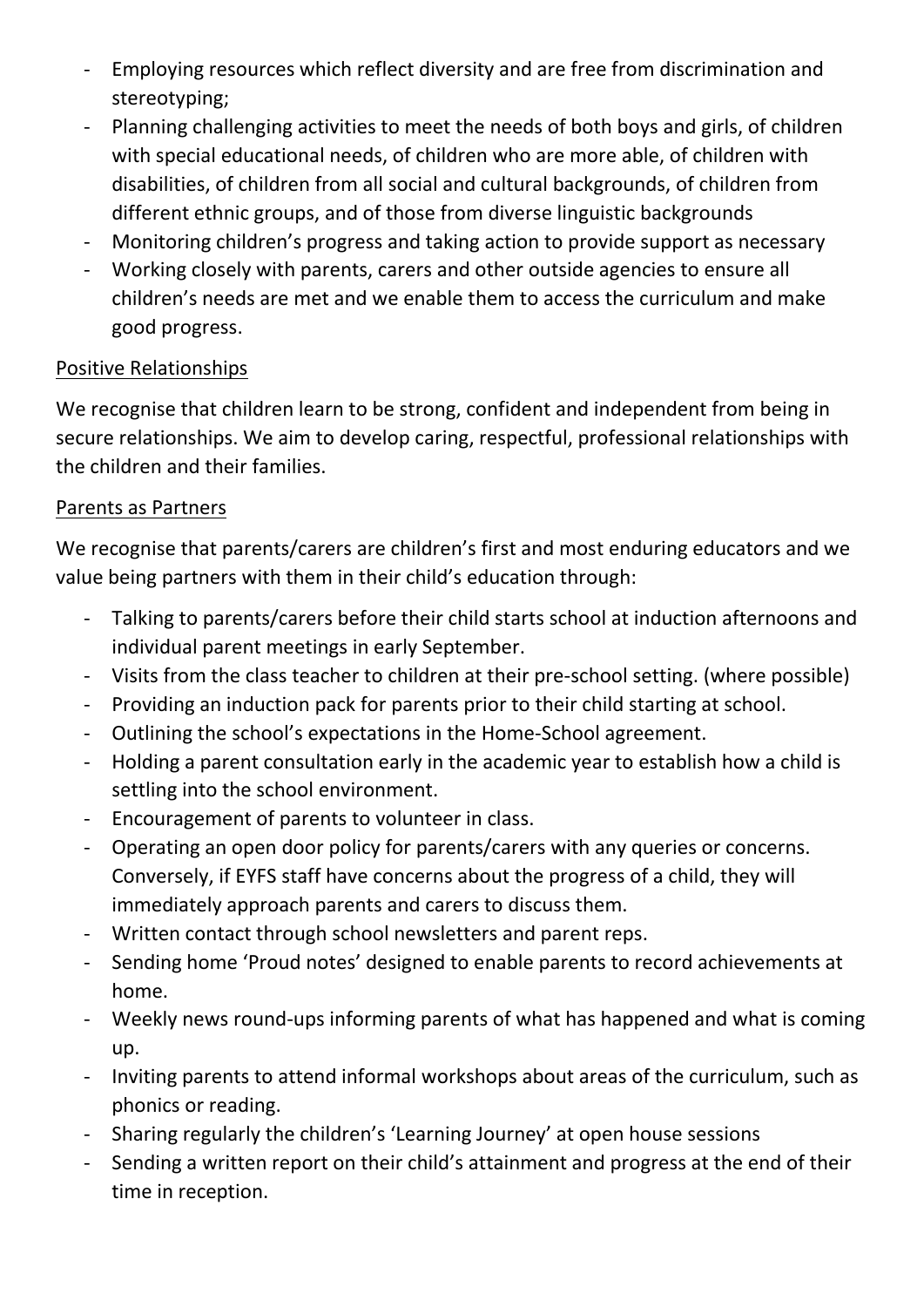- Employing resources which reflect diversity and are free from discrimination and stereotyping;
- Planning challenging activities to meet the needs of both boys and girls, of children with special educational needs, of children who are more able, of children with disabilities, of children from all social and cultural backgrounds, of children from different ethnic groups, and of those from diverse linguistic backgrounds
- Monitoring children's progress and taking action to provide support as necessary
- Working closely with parents, carers and other outside agencies to ensure all children's needs are met and we enable them to access the curriculum and make good progress.

#### Positive Relationships

We recognise that children learn to be strong, confident and independent from being in secure relationships. We aim to develop caring, respectful, professional relationships with the children and their families.

#### Parents as Partners

We recognise that parents/carers are children's first and most enduring educators and we value being partners with them in their child's education through:

- Talking to parents/carers before their child starts school at induction afternoons and individual parent meetings in early September.
- Visits from the class teacher to children at their pre-school setting. (where possible)
- Providing an induction pack for parents prior to their child starting at school.
- Outlining the school's expectations in the Home-School agreement.
- Holding a parent consultation early in the academic year to establish how a child is settling into the school environment.
- Encouragement of parents to volunteer in class.
- Operating an open door policy for parents/carers with any queries or concerns. Conversely, if EYFS staff have concerns about the progress of a child, they will immediately approach parents and carers to discuss them.
- Written contact through school newsletters and parent reps.
- Sending home 'Proud notes' designed to enable parents to record achievements at home.
- Weekly news round-ups informing parents of what has happened and what is coming up.
- Inviting parents to attend informal workshops about areas of the curriculum, such as phonics or reading.
- Sharing regularly the children's 'Learning Journey' at open house sessions
- Sending a written report on their child's attainment and progress at the end of their time in reception.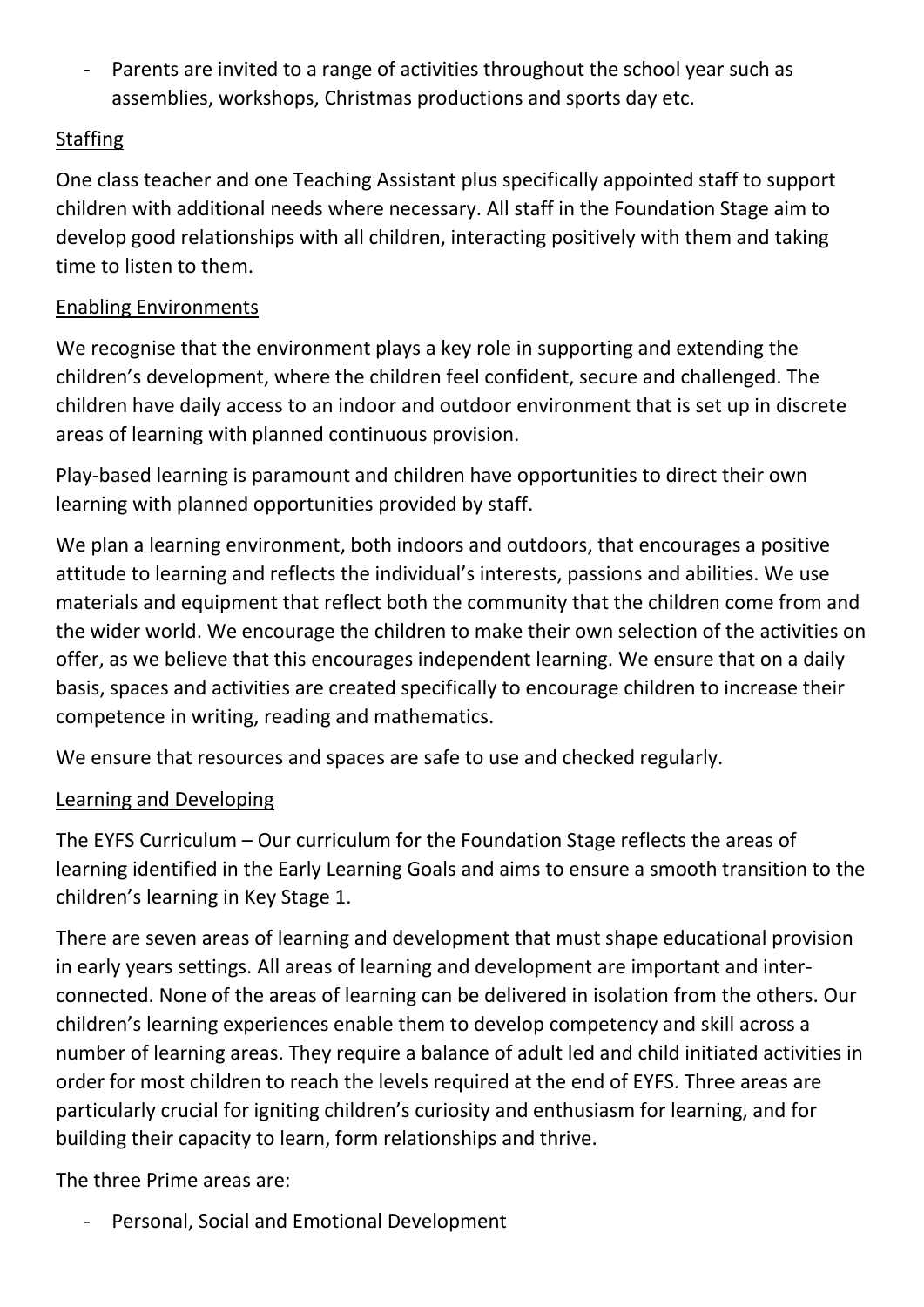- Parents are invited to a range of activities throughout the school year such as assemblies, workshops, Christmas productions and sports day etc.

# Staffing

One class teacher and one Teaching Assistant plus specifically appointed staff to support children with additional needs where necessary. All staff in the Foundation Stage aim to develop good relationships with all children, interacting positively with them and taking time to listen to them.

# Enabling Environments

We recognise that the environment plays a key role in supporting and extending the children's development, where the children feel confident, secure and challenged. The children have daily access to an indoor and outdoor environment that is set up in discrete areas of learning with planned continuous provision.

Play-based learning is paramount and children have opportunities to direct their own learning with planned opportunities provided by staff.

We plan a learning environment, both indoors and outdoors, that encourages a positive attitude to learning and reflects the individual's interests, passions and abilities. We use materials and equipment that reflect both the community that the children come from and the wider world. We encourage the children to make their own selection of the activities on offer, as we believe that this encourages independent learning. We ensure that on a daily basis, spaces and activities are created specifically to encourage children to increase their competence in writing, reading and mathematics.

We ensure that resources and spaces are safe to use and checked regularly.

#### Learning and Developing

The EYFS Curriculum – Our curriculum for the Foundation Stage reflects the areas of learning identified in the Early Learning Goals and aims to ensure a smooth transition to the children's learning in Key Stage 1.

There are seven areas of learning and development that must shape educational provision in early years settings. All areas of learning and development are important and interconnected. None of the areas of learning can be delivered in isolation from the others. Our children's learning experiences enable them to develop competency and skill across a number of learning areas. They require a balance of adult led and child initiated activities in order for most children to reach the levels required at the end of EYFS. Three areas are particularly crucial for igniting children's curiosity and enthusiasm for learning, and for building their capacity to learn, form relationships and thrive.

The three Prime areas are:

- Personal, Social and Emotional Development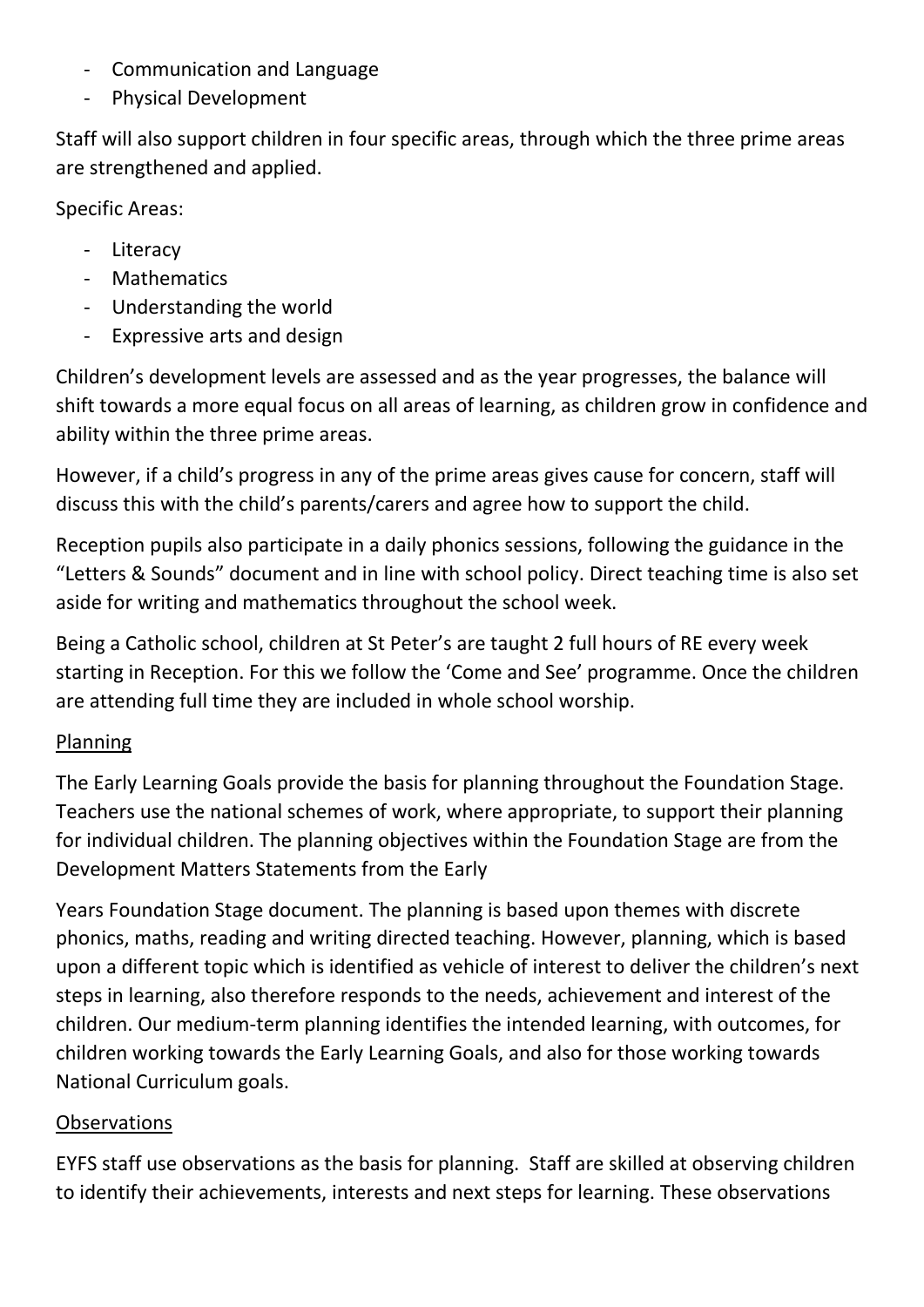- Communication and Language
- Physical Development

Staff will also support children in four specific areas, through which the three prime areas are strengthened and applied.

Specific Areas:

- Literacy
- Mathematics
- Understanding the world
- Expressive arts and design

Children's development levels are assessed and as the year progresses, the balance will shift towards a more equal focus on all areas of learning, as children grow in confidence and ability within the three prime areas.

However, if a child's progress in any of the prime areas gives cause for concern, staff will discuss this with the child's parents/carers and agree how to support the child.

Reception pupils also participate in a daily phonics sessions, following the guidance in the "Letters & Sounds" document and in line with school policy. Direct teaching time is also set aside for writing and mathematics throughout the school week.

Being a Catholic school, children at St Peter's are taught 2 full hours of RE every week starting in Reception. For this we follow the 'Come and See' programme. Once the children are attending full time they are included in whole school worship.

#### Planning

The Early Learning Goals provide the basis for planning throughout the Foundation Stage. Teachers use the national schemes of work, where appropriate, to support their planning for individual children. The planning objectives within the Foundation Stage are from the Development Matters Statements from the Early

Years Foundation Stage document. The planning is based upon themes with discrete phonics, maths, reading and writing directed teaching. However, planning, which is based upon a different topic which is identified as vehicle of interest to deliver the children's next steps in learning, also therefore responds to the needs, achievement and interest of the children. Our medium-term planning identifies the intended learning, with outcomes, for children working towards the Early Learning Goals, and also for those working towards National Curriculum goals.

#### **Observations**

EYFS staff use observations as the basis for planning. Staff are skilled at observing children to identify their achievements, interests and next steps for learning. These observations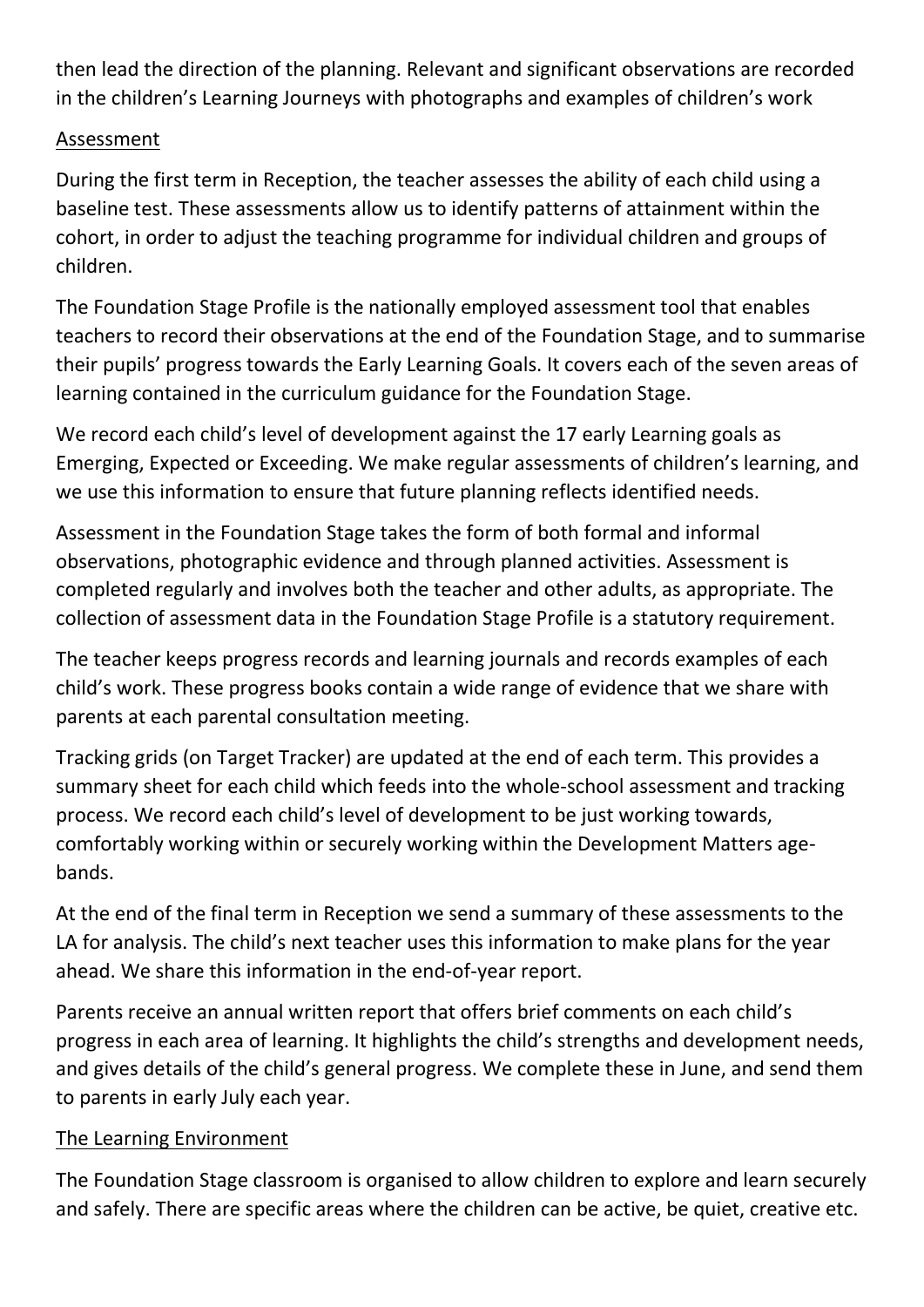then lead the direction of the planning. Relevant and significant observations are recorded in the children's Learning Journeys with photographs and examples of children's work

#### Assessment

During the first term in Reception, the teacher assesses the ability of each child using a baseline test. These assessments allow us to identify patterns of attainment within the cohort, in order to adjust the teaching programme for individual children and groups of children.

The Foundation Stage Profile is the nationally employed assessment tool that enables teachers to record their observations at the end of the Foundation Stage, and to summarise their pupils' progress towards the Early Learning Goals. It covers each of the seven areas of learning contained in the curriculum guidance for the Foundation Stage.

We record each child's level of development against the 17 early Learning goals as Emerging, Expected or Exceeding. We make regular assessments of children's learning, and we use this information to ensure that future planning reflects identified needs.

Assessment in the Foundation Stage takes the form of both formal and informal observations, photographic evidence and through planned activities. Assessment is completed regularly and involves both the teacher and other adults, as appropriate. The collection of assessment data in the Foundation Stage Profile is a statutory requirement.

The teacher keeps progress records and learning journals and records examples of each child's work. These progress books contain a wide range of evidence that we share with parents at each parental consultation meeting.

Tracking grids (on Target Tracker) are updated at the end of each term. This provides a summary sheet for each child which feeds into the whole-school assessment and tracking process. We record each child's level of development to be just working towards, comfortably working within or securely working within the Development Matters agebands.

At the end of the final term in Reception we send a summary of these assessments to the LA for analysis. The child's next teacher uses this information to make plans for the year ahead. We share this information in the end-of-year report.

Parents receive an annual written report that offers brief comments on each child's progress in each area of learning. It highlights the child's strengths and development needs, and gives details of the child's general progress. We complete these in June, and send them to parents in early July each year.

#### The Learning Environment

The Foundation Stage classroom is organised to allow children to explore and learn securely and safely. There are specific areas where the children can be active, be quiet, creative etc.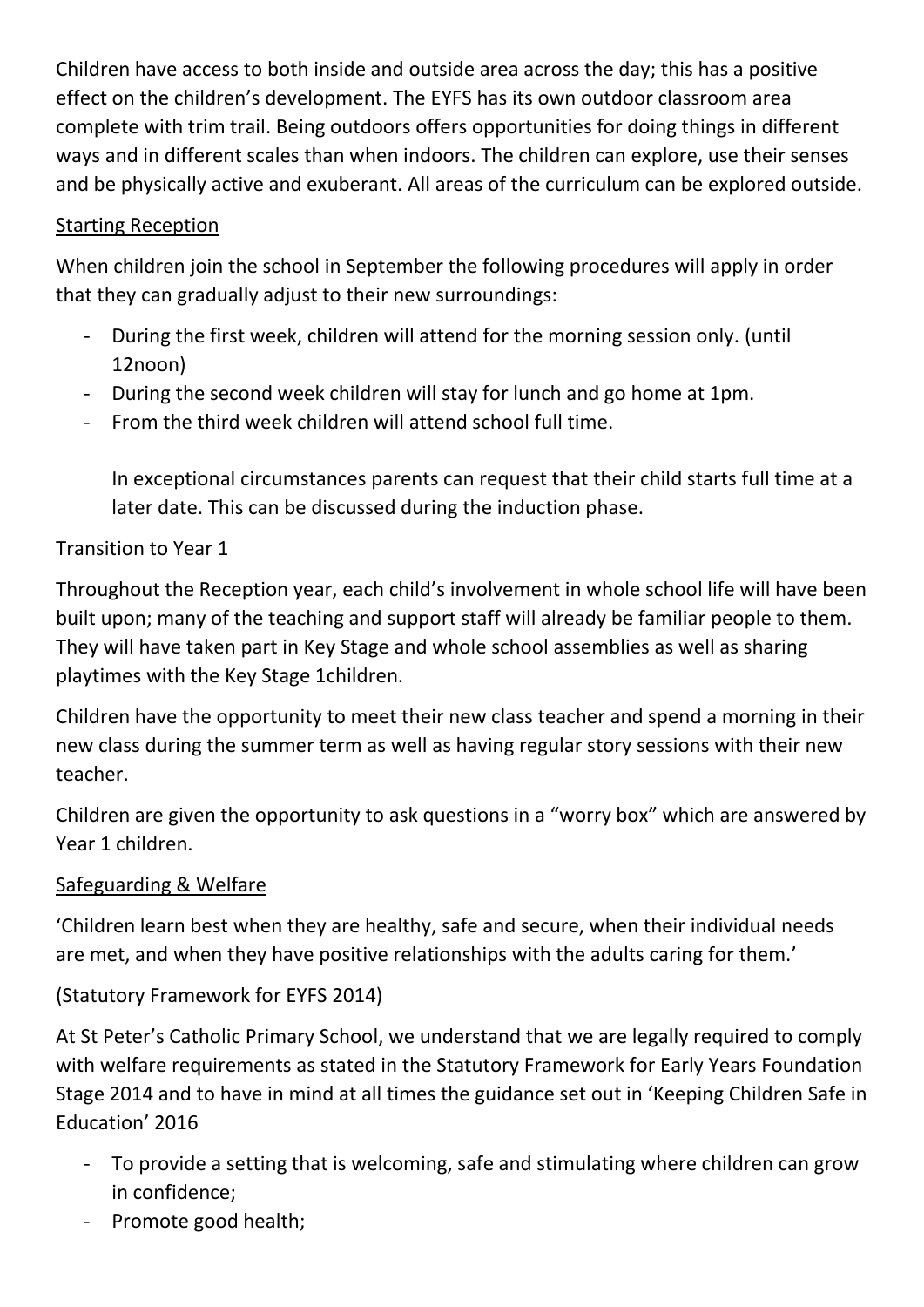Children have access to both inside and outside area across the day; this has a positive effect on the children's development. The EYFS has its own outdoor classroom area complete with trim trail. Being outdoors offers opportunities for doing things in different ways and in different scales than when indoors. The children can explore, use their senses and be physically active and exuberant. All areas of the curriculum can be explored outside.

# Starting Reception

When children join the school in September the following procedures will apply in order that they can gradually adjust to their new surroundings:

- During the first week, children will attend for the morning session only. (until 12noon)
- During the second week children will stay for lunch and go home at 1pm.
- From the third week children will attend school full time.

In exceptional circumstances parents can request that their child starts full time at a later date. This can be discussed during the induction phase.

# Transition to Year 1

Throughout the Reception year, each child's involvement in whole school life will have been built upon; many of the teaching and support staff will already be familiar people to them. They will have taken part in Key Stage and whole school assemblies as well as sharing playtimes with the Key Stage 1children.

Children have the opportunity to meet their new class teacher and spend a morning in their new class during the summer term as well as having regular story sessions with their new teacher.

Children are given the opportunity to ask questions in a "worry box" which are answered by Year 1 children.

# Safeguarding & Welfare

'Children learn best when they are healthy, safe and secure, when their individual needs are met, and when they have positive relationships with the adults caring for them.'

# (Statutory Framework for EYFS 2014)

At St Peter's Catholic Primary School, we understand that we are legally required to comply with welfare requirements as stated in the Statutory Framework for Early Years Foundation Stage 2014 and to have in mind at all times the guidance set out in 'Keeping Children Safe in Education' 2016

- To provide a setting that is welcoming, safe and stimulating where children can grow in confidence;
- Promote good health;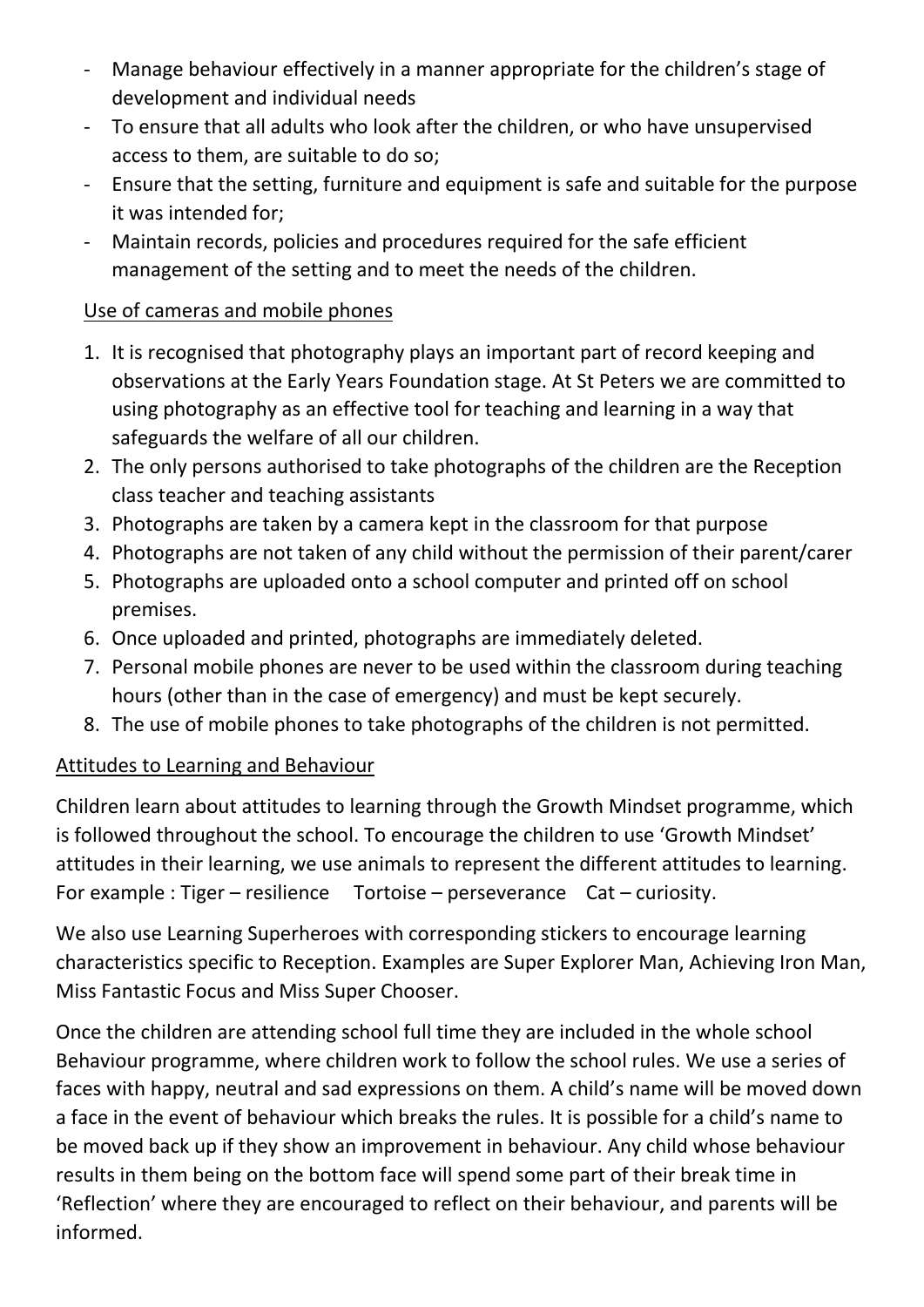- Manage behaviour effectively in a manner appropriate for the children's stage of development and individual needs
- To ensure that all adults who look after the children, or who have unsupervised access to them, are suitable to do so;
- Ensure that the setting, furniture and equipment is safe and suitable for the purpose it was intended for;
- Maintain records, policies and procedures required for the safe efficient management of the setting and to meet the needs of the children.

# Use of cameras and mobile phones

- 1. It is recognised that photography plays an important part of record keeping and observations at the Early Years Foundation stage. At St Peters we are committed to using photography as an effective tool for teaching and learning in a way that safeguards the welfare of all our children.
- 2. The only persons authorised to take photographs of the children are the Reception class teacher and teaching assistants
- 3. Photographs are taken by a camera kept in the classroom for that purpose
- 4. Photographs are not taken of any child without the permission of their parent/carer
- 5. Photographs are uploaded onto a school computer and printed off on school premises.
- 6. Once uploaded and printed, photographs are immediately deleted.
- 7. Personal mobile phones are never to be used within the classroom during teaching hours (other than in the case of emergency) and must be kept securely.
- 8. The use of mobile phones to take photographs of the children is not permitted.

# Attitudes to Learning and Behaviour

Children learn about attitudes to learning through the Growth Mindset programme, which is followed throughout the school. To encourage the children to use 'Growth Mindset' attitudes in their learning, we use animals to represent the different attitudes to learning. For example : Tiger – resilience Tortoise – perseverance Cat – curiosity.

We also use Learning Superheroes with corresponding stickers to encourage learning characteristics specific to Reception. Examples are Super Explorer Man, Achieving Iron Man, Miss Fantastic Focus and Miss Super Chooser.

Once the children are attending school full time they are included in the whole school Behaviour programme, where children work to follow the school rules. We use a series of faces with happy, neutral and sad expressions on them. A child's name will be moved down a face in the event of behaviour which breaks the rules. It is possible for a child's name to be moved back up if they show an improvement in behaviour. Any child whose behaviour results in them being on the bottom face will spend some part of their break time in 'Reflection' where they are encouraged to reflect on their behaviour, and parents will be informed.